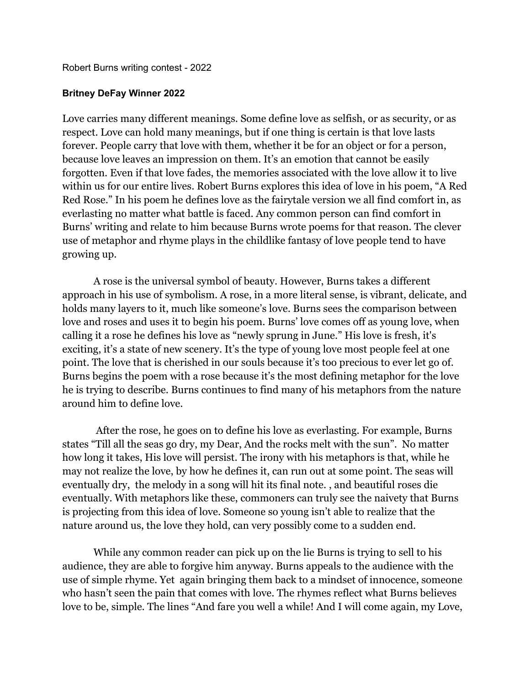Robert Burns writing contest - 2022

## **Britney DeFay Winner 2022**

Love carries many different meanings. Some define love as selfish, or as security, or as respect. Love can hold many meanings, but if one thing is certain is that love lasts forever. People carry that love with them, whether it be for an object or for a person, because love leaves an impression on them. It's an emotion that cannot be easily forgotten. Even if that love fades, the memories associated with the love allow it to live within us for our entire lives. Robert Burns explores this idea of love in his poem, "A Red Red Rose." In his poem he defines love as the fairytale version we all find comfort in, as everlasting no matter what battle is faced. Any common person can find comfort in Burns' writing and relate to him because Burns wrote poems for that reason. The clever use of metaphor and rhyme plays in the childlike fantasy of love people tend to have growing up.

A rose is the universal symbol of beauty. However, Burns takes a different approach in his use of symbolism. A rose, in a more literal sense, is vibrant, delicate, and holds many layers to it, much like someone's love. Burns sees the comparison between love and roses and uses it to begin his poem. Burns' love comes off as young love, when calling it a rose he defines his love as "newly sprung in June." His love is fresh, it's exciting, it's a state of new scenery. It's the type of young love most people feel at one point. The love that is cherished in our souls because it's too precious to ever let go of. Burns begins the poem with a rose because it's the most defining metaphor for the love he is trying to describe. Burns continues to find many of his metaphors from the nature around him to define love.

After the rose, he goes on to define his love as everlasting. For example, Burns states "Till all the seas go dry, my Dear, And the rocks melt with the sun". No matter how long it takes, His love will persist. The irony with his metaphors is that, while he may not realize the love, by how he defines it, can run out at some point. The seas will eventually dry, the melody in a song will hit its final note. , and beautiful roses die eventually. With metaphors like these, commoners can truly see the naivety that Burns is projecting from this idea of love. Someone so young isn't able to realize that the nature around us, the love they hold, can very possibly come to a sudden end.

While any common reader can pick up on the lie Burns is trying to sell to his audience, they are able to forgive him anyway. Burns appeals to the audience with the use of simple rhyme. Yet again bringing them back to a mindset of innocence, someone who hasn't seen the pain that comes with love. The rhymes reflect what Burns believes love to be, simple. The lines "And fare you well a while! And I will come again, my Love,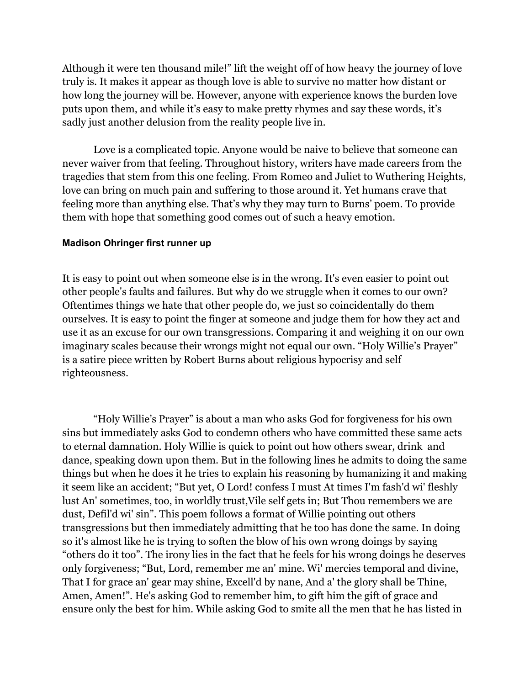Although it were ten thousand mile!" lift the weight off of how heavy the journey of love truly is. It makes it appear as though love is able to survive no matter how distant or how long the journey will be. However, anyone with experience knows the burden love puts upon them, and while it's easy to make pretty rhymes and say these words, it's sadly just another delusion from the reality people live in.

Love is a complicated topic. Anyone would be naive to believe that someone can never waiver from that feeling. Throughout history, writers have made careers from the tragedies that stem from this one feeling. From Romeo and Juliet to Wuthering Heights, love can bring on much pain and suffering to those around it. Yet humans crave that feeling more than anything else. That's why they may turn to Burns' poem. To provide them with hope that something good comes out of such a heavy emotion.

## **Madison Ohringer first runner up**

It is easy to point out when someone else is in the wrong. It's even easier to point out other people's faults and failures. But why do we struggle when it comes to our own? Oftentimes things we hate that other people do, we just so coincidentally do them ourselves. It is easy to point the finger at someone and judge them for how they act and use it as an excuse for our own transgressions. Comparing it and weighing it on our own imaginary scales because their wrongs might not equal our own. "Holy Willie's Prayer" is a satire piece written by Robert Burns about religious hypocrisy and self righteousness.

"Holy Willie's Prayer" is about a man who asks God for forgiveness for his own sins but immediately asks God to condemn others who have committed these same acts to eternal damnation. Holy Willie is quick to point out how others swear, drink and dance, speaking down upon them. But in the following lines he admits to doing the same things but when he does it he tries to explain his reasoning by humanizing it and making it seem like an accident; "But yet, O Lord! confess I must At times I'm fash'd wi' fleshly lust An' sometimes, too, in worldly trust,Vile self gets in; But Thou remembers we are dust, Defil'd wi' sin". This poem follows a format of Willie pointing out others transgressions but then immediately admitting that he too has done the same. In doing so it's almost like he is trying to soften the blow of his own wrong doings by saying "others do it too". The irony lies in the fact that he feels for his wrong doings he deserves only forgiveness; "But, Lord, remember me an' mine. Wi' mercies temporal and divine, That I for grace an' gear may shine, Excell'd by nane, And a' the glory shall be Thine, Amen, Amen!". He's asking God to remember him, to gift him the gift of grace and ensure only the best for him. While asking God to smite all the men that he has listed in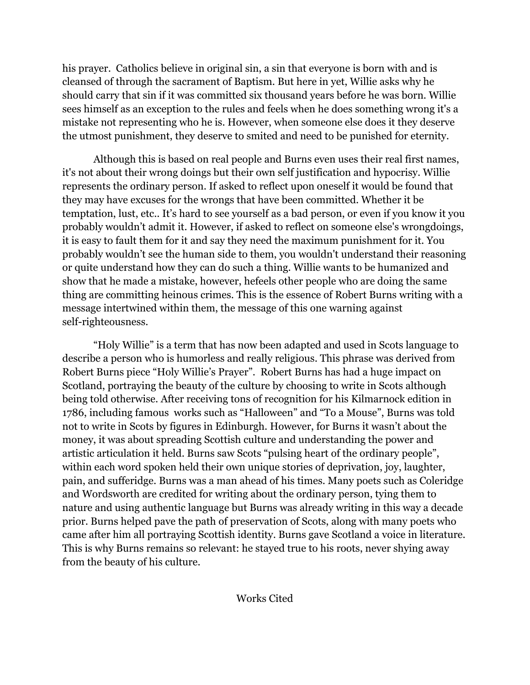his prayer. Catholics believe in original sin, a sin that everyone is born with and is cleansed of through the sacrament of Baptism. But here in yet, Willie asks why he should carry that sin if it was committed six thousand years before he was born. Willie sees himself as an exception to the rules and feels when he does something wrong it's a mistake not representing who he is. However, when someone else does it they deserve the utmost punishment, they deserve to smited and need to be punished for eternity.

Although this is based on real people and Burns even uses their real first names, it's not about their wrong doings but their own self justification and hypocrisy. Willie represents the ordinary person. If asked to reflect upon oneself it would be found that they may have excuses for the wrongs that have been committed. Whether it be temptation, lust, etc.. It's hard to see yourself as a bad person, or even if you know it you probably wouldn't admit it. However, if asked to reflect on someone else's wrongdoings, it is easy to fault them for it and say they need the maximum punishment for it. You probably wouldn't see the human side to them, you wouldn't understand their reasoning or quite understand how they can do such a thing. Willie wants to be humanized and show that he made a mistake, however, hefeels other people who are doing the same thing are committing heinous crimes. This is the essence of Robert Burns writing with a message intertwined within them, the message of this one warning against self-righteousness.

"Holy Willie" is a term that has now been adapted and used in Scots language to describe a person who is humorless and really religious. This phrase was derived from Robert Burns piece "Holy Willie's Prayer". Robert Burns has had a huge impact on Scotland, portraying the beauty of the culture by choosing to write in Scots although being told otherwise. After receiving tons of recognition for his Kilmarnock edition in 1786, including famous works such as "Halloween" and "To a Mouse", Burns was told not to write in Scots by figures in Edinburgh. However, for Burns it wasn't about the money, it was about spreading Scottish culture and understanding the power and artistic articulation it held. Burns saw Scots "pulsing heart of the ordinary people", within each word spoken held their own unique stories of deprivation, joy, laughter, pain, and sufferidge. Burns was a man ahead of his times. Many poets such as Coleridge and Wordsworth are credited for writing about the ordinary person, tying them to nature and using authentic language but Burns was already writing in this way a decade prior. Burns helped pave the path of preservation of Scots, along with many poets who came after him all portraying Scottish identity. Burns gave Scotland a voice in literature. This is why Burns remains so relevant: he stayed true to his roots, never shying away from the beauty of his culture.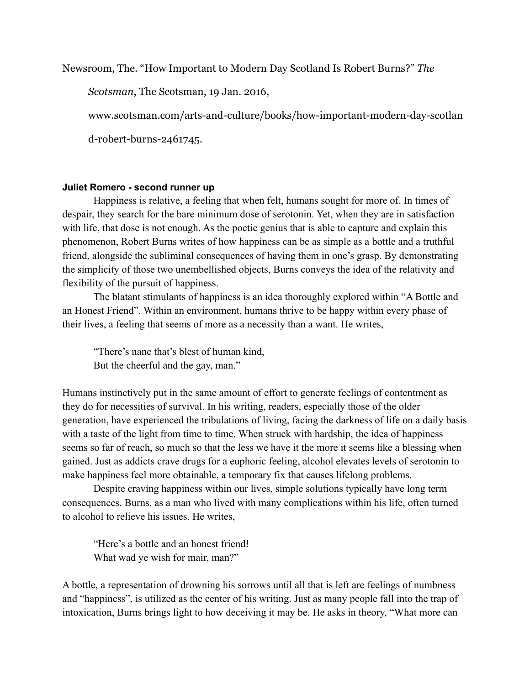Newsroom, The. "How Important to Modern Day Scotland Is Robert Burns?" *The*

*Scotsman*, The Scotsman, 19 Jan. 2016,

www.scotsman.com/arts-and-culture/books/how-important-modern-day-scotlan

d-robert-burns-2461745.

## **Juliet Romero - second runner up**

Happiness is relative, a feeling that when felt, humans sought for more of. In times of despair, they search for the bare minimum dose of serotonin. Yet, when they are in satisfaction with life, that dose is not enough. As the poetic genius that is able to capture and explain this phenomenon, Robert Burns writes of how happiness can be as simple as a bottle and a truthful friend, alongside the subliminal consequences of having them in one's grasp. By demonstrating the simplicity of those two unembellished objects, Burns conveys the idea of the relativity and flexibility of the pursuit of happiness.

The blatant stimulants of happiness is an idea thoroughly explored within "A Bottle and an Honest Friend". Within an environment, humans thrive to be happy within every phase of their lives, a feeling that seems of more as a necessity than a want. He writes,

"There's nane that's blest of human kind, But the cheerful and the gay, man."

Humans instinctively put in the same amount of effort to generate feelings of contentment as they do for necessities of survival. In his writing, readers, especially those of the older generation, have experienced the tribulations of living, facing the darkness of life on a daily basis with a taste of the light from time to time. When struck with hardship, the idea of happiness seems so far of reach, so much so that the less we have it the more it seems like a blessing when gained. Just as addicts crave drugs for a euphoric feeling, alcohol elevates levels of serotonin to make happiness feel more obtainable, a temporary fix that causes lifelong problems.

Despite craving happiness within our lives, simple solutions typically have long term consequences. Burns, as a man who lived with many complications within his life, often turned to alcohol to relieve his issues. He writes,

"Here's a bottle and an honest friend! What wad ye wish for mair, man?"

A bottle, a representation of drowning his sorrows until all that is left are feelings of numbness and "happiness", is utilized as the center of his writing. Just as many people fall into the trap of intoxication, Burns brings light to how deceiving it may be. He asks in theory, "What more can